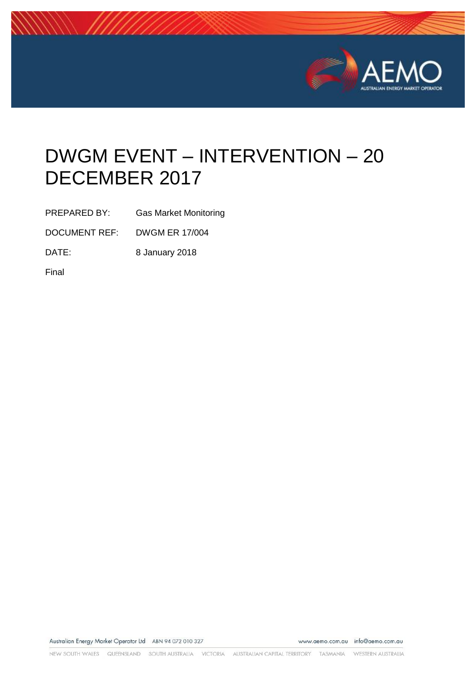

# DWGM EVENT – INTERVENTION – 20 DECEMBER 2017

PREPARED BY: Gas Market Monitoring

DOCUMENT REF: DWGM ER 17/004

DATE: 8 January 2018

Final

Australian Energy Market Operator Ltd ABN 94 072 010 327

www.aemo.com.au info@aemo.com.au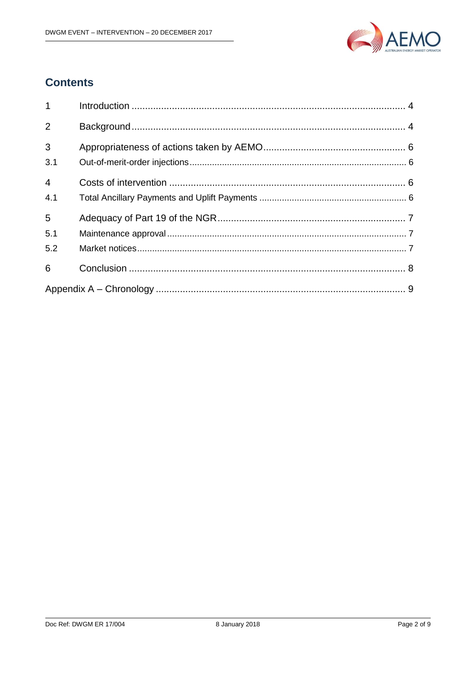

## **Contents**

| $\mathbf{1}$          |  |  |  |  |
|-----------------------|--|--|--|--|
| 2                     |  |  |  |  |
| 3<br>3.1              |  |  |  |  |
| $\overline{4}$<br>4.1 |  |  |  |  |
| 5<br>5.1              |  |  |  |  |
| 5.2                   |  |  |  |  |
| 6                     |  |  |  |  |
|                       |  |  |  |  |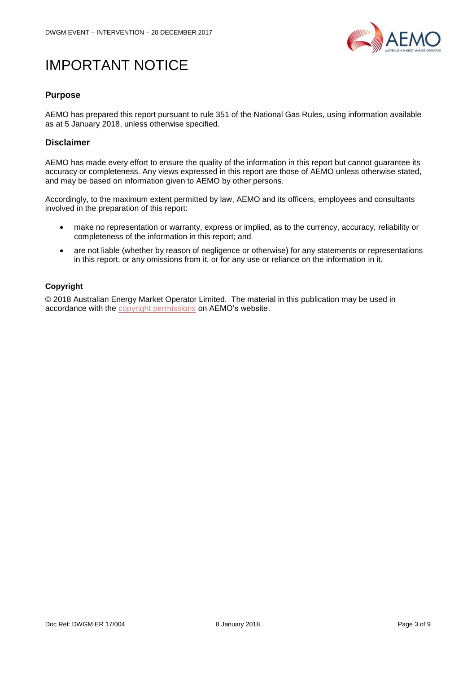

## IMPORTANT NOTICE

#### **Purpose**

AEMO has prepared this report pursuant to rule 351 of the National Gas Rules, using information available as at 5 January 2018, unless otherwise specified.

#### **Disclaimer**

AEMO has made every effort to ensure the quality of the information in this report but cannot guarantee its accuracy or completeness. Any views expressed in this report are those of AEMO unless otherwise stated, and may be based on information given to AEMO by other persons.

Accordingly, to the maximum extent permitted by law, AEMO and its officers, employees and consultants involved in the preparation of this report:

- make no representation or warranty, express or implied, as to the currency, accuracy, reliability or completeness of the information in this report; and
- are not liable (whether by reason of negligence or otherwise) for any statements or representations in this report, or any omissions from it, or for any use or reliance on the information in it.

#### **Copyright**

© 2018 Australian Energy Market Operator Limited. The material in this publication may be used in accordance with the [copyright permissions](http://aemo.com.au/Privacy_and_Legal_Notices/Copyright_Permissions_Notice) on AEMO's website.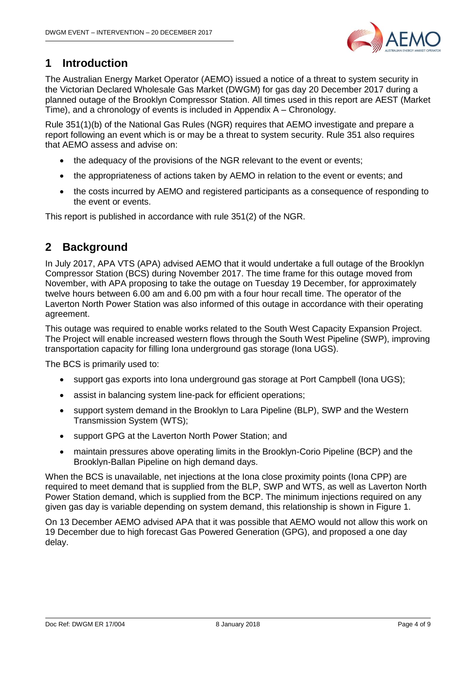

### <span id="page-3-0"></span>**1 Introduction**

The Australian Energy Market Operator (AEMO) issued a notice of a threat to system security in the Victorian Declared Wholesale Gas Market (DWGM) for gas day 20 December 2017 during a planned outage of the Brooklyn Compressor Station. All times used in this report are AEST (Market Time), and a chronology of events is included in [Appendix A –](#page-8-0) Chronology.

Rule 351(1)(b) of the National Gas Rules (NGR) requires that AEMO investigate and prepare a report following an event which is or may be a threat to system security. Rule 351 also requires that AEMO assess and advise on:

- the adequacy of the provisions of the NGR relevant to the event or events;
- the appropriateness of actions taken by AEMO in relation to the event or events; and
- the costs incurred by AEMO and registered participants as a consequence of responding to the event or events.

This report is published in accordance with rule 351(2) of the NGR.

#### <span id="page-3-1"></span>**2 Background**

In July 2017, APA VTS (APA) advised AEMO that it would undertake a full outage of the Brooklyn Compressor Station (BCS) during November 2017. The time frame for this outage moved from November, with APA proposing to take the outage on Tuesday 19 December, for approximately twelve hours between 6.00 am and 6.00 pm with a four hour recall time. The operator of the Laverton North Power Station was also informed of this outage in accordance with their operating agreement.

This outage was required to enable works related to the South West Capacity Expansion Project. The Project will enable increased western flows through the South West Pipeline (SWP), improving transportation capacity for filling Iona underground gas storage (Iona UGS).

The BCS is primarily used to:

- support gas exports into Iona underground gas storage at Port Campbell (Iona UGS);
- assist in balancing system line-pack for efficient operations;
- support system demand in the Brooklyn to Lara Pipeline (BLP), SWP and the Western Transmission System (WTS);
- support GPG at the Laverton North Power Station; and
- maintain pressures above operating limits in the Brooklyn-Corio Pipeline (BCP) and the Brooklyn-Ballan Pipeline on high demand days.

When the BCS is unavailable, net injections at the Iona close proximity points (Iona CPP) are required to meet demand that is supplied from the BLP, SWP and WTS, as well as Laverton North Power Station demand, which is supplied from the BCP. The minimum injections required on any given gas day is variable depending on system demand, this relationship is shown in Figure 1.

On 13 December AEMO advised APA that it was possible that AEMO would not allow this work on 19 December due to high forecast Gas Powered Generation (GPG), and proposed a one day delay.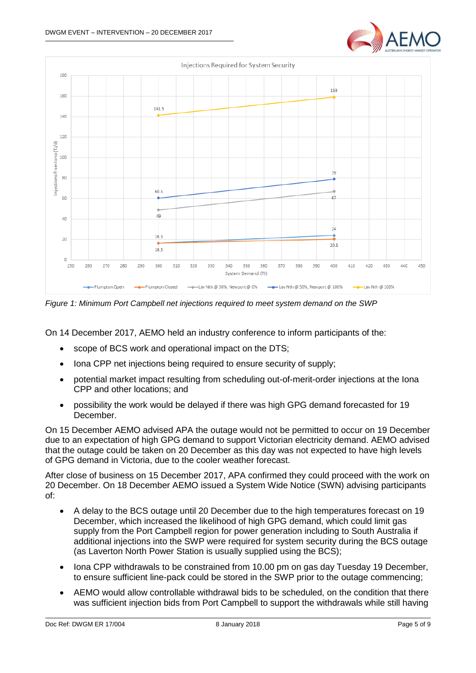



*Figure 1: Minimum Port Campbell net injections required to meet system demand on the SWP*

On 14 December 2017, AEMO held an industry conference to inform participants of the:

- scope of BCS work and operational impact on the DTS;
- Iona CPP net injections being required to ensure security of supply:
- potential market impact resulting from scheduling out-of-merit-order injections at the Iona CPP and other locations; and
- possibility the work would be delayed if there was high GPG demand forecasted for 19 December.

On 15 December AEMO advised APA the outage would not be permitted to occur on 19 December due to an expectation of high GPG demand to support Victorian electricity demand. AEMO advised that the outage could be taken on 20 December as this day was not expected to have high levels of GPG demand in Victoria, due to the cooler weather forecast.

After close of business on 15 December 2017, APA confirmed they could proceed with the work on 20 December. On 18 December AEMO issued a System Wide Notice (SWN) advising participants of:

- A delay to the BCS outage until 20 December due to the high temperatures forecast on 19 December, which increased the likelihood of high GPG demand, which could limit gas supply from the Port Campbell region for power generation including to South Australia if additional injections into the SWP were required for system security during the BCS outage (as Laverton North Power Station is usually supplied using the BCS);
- Iona CPP withdrawals to be constrained from 10.00 pm on gas day Tuesday 19 December, to ensure sufficient line-pack could be stored in the SWP prior to the outage commencing;
- AEMO would allow controllable withdrawal bids to be scheduled, on the condition that there was sufficient injection bids from Port Campbell to support the withdrawals while still having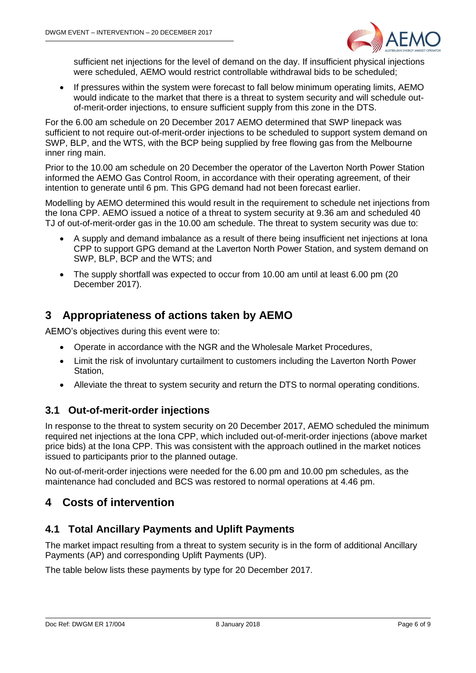

sufficient net injections for the level of demand on the day. If insufficient physical injections were scheduled, AEMO would restrict controllable withdrawal bids to be scheduled;

 If pressures within the system were forecast to fall below minimum operating limits, AEMO would indicate to the market that there is a threat to system security and will schedule outof-merit-order injections, to ensure sufficient supply from this zone in the DTS.

For the 6.00 am schedule on 20 December 2017 AEMO determined that SWP linepack was sufficient to not require out-of-merit-order injections to be scheduled to support system demand on SWP, BLP, and the WTS, with the BCP being supplied by free flowing gas from the Melbourne inner ring main.

Prior to the 10.00 am schedule on 20 December the operator of the Laverton North Power Station informed the AEMO Gas Control Room, in accordance with their operating agreement, of their intention to generate until 6 pm. This GPG demand had not been forecast earlier.

Modelling by AEMO determined this would result in the requirement to schedule net injections from the Iona CPP. AEMO issued a notice of a threat to system security at 9.36 am and scheduled 40 TJ of out-of-merit-order gas in the 10.00 am schedule. The threat to system security was due to:

- A supply and demand imbalance as a result of there being insufficient net injections at Iona CPP to support GPG demand at the Laverton North Power Station, and system demand on SWP, BLP, BCP and the WTS; and
- The supply shortfall was expected to occur from 10.00 am until at least 6.00 pm (20 December 2017).

#### <span id="page-5-0"></span>**3 Appropriateness of actions taken by AEMO**

AEMO's objectives during this event were to:

- Operate in accordance with the NGR and the Wholesale Market Procedures,
- Limit the risk of involuntary curtailment to customers including the Laverton North Power Station,
- Alleviate the threat to system security and return the DTS to normal operating conditions.

#### <span id="page-5-1"></span>**3.1 Out-of-merit-order injections**

In response to the threat to system security on 20 December 2017, AEMO scheduled the minimum required net injections at the Iona CPP, which included out-of-merit-order injections (above market price bids) at the Iona CPP. This was consistent with the approach outlined in the market notices issued to participants prior to the planned outage.

No out-of-merit-order injections were needed for the 6.00 pm and 10.00 pm schedules, as the maintenance had concluded and BCS was restored to normal operations at 4.46 pm.

#### <span id="page-5-2"></span>**4 Costs of intervention**

#### <span id="page-5-3"></span>**4.1 Total Ancillary Payments and Uplift Payments**

The market impact resulting from a threat to system security is in the form of additional Ancillary Payments (AP) and corresponding Uplift Payments (UP).

The table below lists these payments by type for 20 December 2017.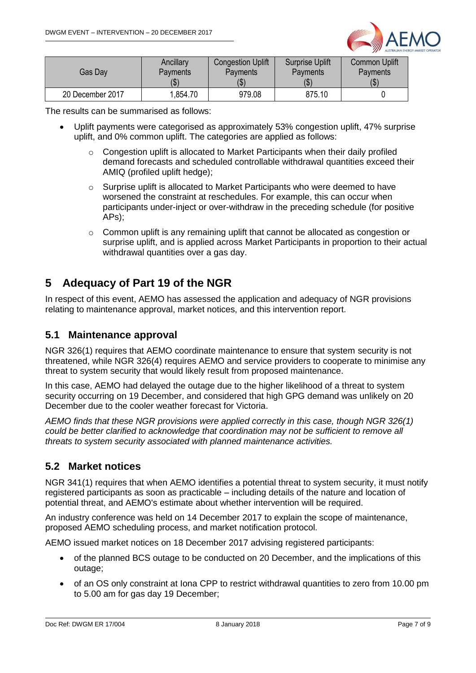

| Gas Day          | Ancillary       | <b>Congestion Uplift</b> | <b>Surprise Uplift</b> | <b>Common Uplift</b>       |
|------------------|-----------------|--------------------------|------------------------|----------------------------|
|                  | <b>Payments</b> | Payments                 | Payments               | Payments                   |
|                  | l JD I          | (\$`                     | (\$`                   | $\left( \text{\$} \right)$ |
| 20 December 2017 | .854.70         | 979.08                   | 875.10                 |                            |

The results can be summarised as follows:

- Uplift payments were categorised as approximately 53% congestion uplift, 47% surprise uplift, and 0% common uplift. The categories are applied as follows:
	- o Congestion uplift is allocated to Market Participants when their daily profiled demand forecasts and scheduled controllable withdrawal quantities exceed their AMIQ (profiled uplift hedge);
	- o Surprise uplift is allocated to Market Participants who were deemed to have worsened the constraint at reschedules. For example, this can occur when participants under-inject or over-withdraw in the preceding schedule (for positive APs);
	- o Common uplift is any remaining uplift that cannot be allocated as congestion or surprise uplift, and is applied across Market Participants in proportion to their actual withdrawal quantities over a gas day.

#### <span id="page-6-0"></span>**5 Adequacy of Part 19 of the NGR**

In respect of this event, AEMO has assessed the application and adequacy of NGR provisions relating to maintenance approval, market notices, and this intervention report.

#### <span id="page-6-1"></span>**5.1 Maintenance approval**

NGR 326(1) requires that AEMO coordinate maintenance to ensure that system security is not threatened, while NGR 326(4) requires AEMO and service providers to cooperate to minimise any threat to system security that would likely result from proposed maintenance.

In this case, AEMO had delayed the outage due to the higher likelihood of a threat to system security occurring on 19 December, and considered that high GPG demand was unlikely on 20 December due to the cooler weather forecast for Victoria.

*AEMO finds that these NGR provisions were applied correctly in this case, though NGR 326(1) could be better clarified to acknowledge that coordination may not be sufficient to remove all threats to system security associated with planned maintenance activities.* 

#### <span id="page-6-2"></span>**5.2 Market notices**

NGR 341(1) requires that when AEMO identifies a potential threat to system security, it must notify registered participants as soon as practicable – including details of the nature and location of potential threat, and AEMO's estimate about whether intervention will be required.

An industry conference was held on 14 December 2017 to explain the scope of maintenance, proposed AEMO scheduling process, and market notification protocol.

AEMO issued market notices on 18 December 2017 advising registered participants:

- of the planned BCS outage to be conducted on 20 December, and the implications of this outage;
- of an OS only constraint at Iona CPP to restrict withdrawal quantities to zero from 10.00 pm to 5.00 am for gas day 19 December;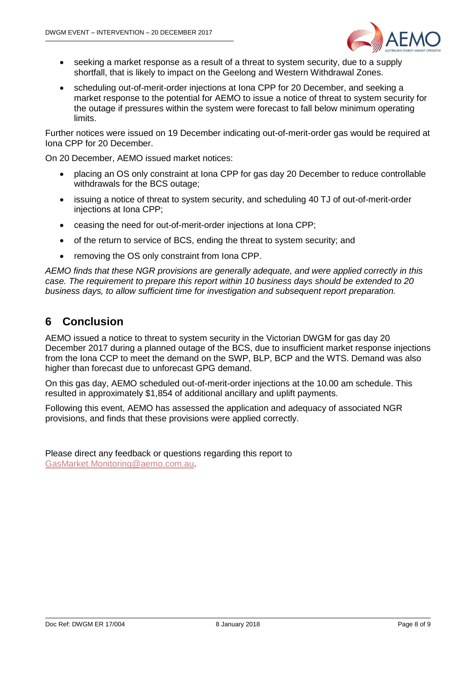

- seeking a market response as a result of a threat to system security, due to a supply shortfall, that is likely to impact on the Geelong and Western Withdrawal Zones.
- scheduling out-of-merit-order injections at Iona CPP for 20 December, and seeking a market response to the potential for AEMO to issue a notice of threat to system security for the outage if pressures within the system were forecast to fall below minimum operating limits.

Further notices were issued on 19 December indicating out-of-merit-order gas would be required at Iona CPP for 20 December.

On 20 December, AEMO issued market notices:

- placing an OS only constraint at Iona CPP for gas day 20 December to reduce controllable withdrawals for the BCS outage;
- issuing a notice of threat to system security, and scheduling 40 TJ of out-of-merit-order injections at Iona CPP;
- ceasing the need for out-of-merit-order injections at Iona CPP;
- of the return to service of BCS, ending the threat to system security; and
- removing the OS only constraint from Iona CPP.

*AEMO finds that these NGR provisions are generally adequate, and were applied correctly in this case. The requirement to prepare this report within 10 business days should be extended to 20 business days, to allow sufficient time for investigation and subsequent report preparation.* 

#### <span id="page-7-0"></span>**6 Conclusion**

AEMO issued a notice to threat to system security in the Victorian DWGM for gas day 20 December 2017 during a planned outage of the BCS, due to insufficient market response injections from the Iona CCP to meet the demand on the SWP, BLP, BCP and the WTS. Demand was also higher than forecast due to unforecast GPG demand.

On this gas day, AEMO scheduled out-of-merit-order injections at the 10.00 am schedule. This resulted in approximately \$1,854 of additional ancillary and uplift payments.

Following this event, AEMO has assessed the application and adequacy of associated NGR provisions, and finds that these provisions were applied correctly.

Please direct any feedback or questions regarding this report to [GasMarket.Monitoring@aemo.com.au.](mailto:GasMarket.Monitoring@aemo.com.au)